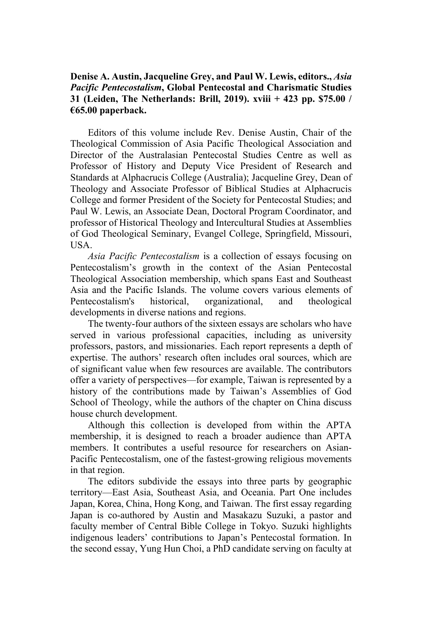## **Denise A. Austin, Jacqueline Grey, and Paul W. Lewis, editors.,** *Asia Pacific Pentecostalism***, Global Pentecostal and Charismatic Studies 31 (Leiden, The Netherlands: Brill, 2019). xviii + 423 pp. \$75.00 / €65.00 paperback.**

Editors of this volume include Rev. Denise Austin, Chair of the Theological Commission of Asia Pacific Theological Association and Director of the Australasian Pentecostal Studies Centre as well as Professor of History and Deputy Vice President of Research and Standards at Alphacrucis College (Australia); Jacqueline Grey, Dean of Theology and Associate Professor of Biblical Studies at Alphacrucis College and former President of the Society for Pentecostal Studies; and Paul W. Lewis, an Associate Dean, Doctoral Program Coordinator, and professor of Historical Theology and Intercultural Studies at Assemblies of God Theological Seminary, Evangel College, Springfield, Missouri, USA.

*Asia Pacific Pentecostalism* is a collection of essays focusing on Pentecostalism's growth in the context of the Asian Pentecostal Theological Association membership, which spans East and Southeast Asia and the Pacific Islands. The volume covers various elements of Pentecostalism's historical, organizational, and theological developments in diverse nations and regions.

The twenty-four authors of the sixteen essays are scholars who have served in various professional capacities, including as university professors, pastors, and missionaries. Each report represents a depth of expertise. The authors' research often includes oral sources, which are of significant value when few resources are available. The contributors offer a variety of perspectives—for example, Taiwan is represented by a history of the contributions made by Taiwan's Assemblies of God School of Theology, while the authors of the chapter on China discuss house church development.

Although this collection is developed from within the APTA membership, it is designed to reach a broader audience than APTA members. It contributes a useful resource for researchers on Asian-Pacific Pentecostalism, one of the fastest-growing religious movements in that region.

The editors subdivide the essays into three parts by geographic territory—East Asia, Southeast Asia, and Oceania. Part One includes Japan, Korea, China, Hong Kong, and Taiwan. The first essay regarding Japan is co-authored by Austin and Masakazu Suzuki, a pastor and faculty member of Central Bible College in Tokyo. Suzuki highlights indigenous leaders' contributions to Japan's Pentecostal formation. In the second essay, Yung Hun Choi, a PhD candidate serving on faculty at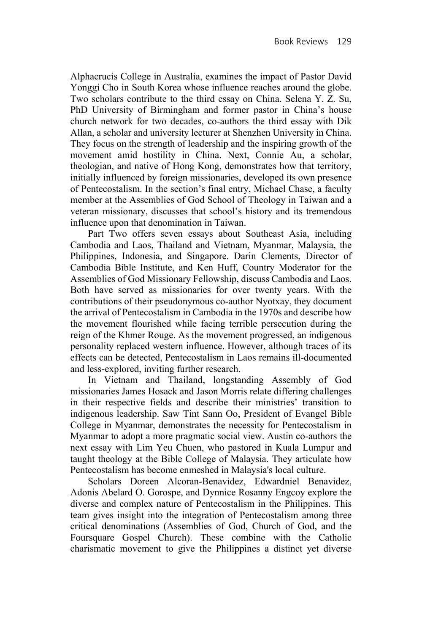Alphacrucis College in Australia, examines the impact of Pastor David Yonggi Cho in South Korea whose influence reaches around the globe. Two scholars contribute to the third essay on China. Selena Y. Z. Su, PhD University of Birmingham and former pastor in China's house church network for two decades, co-authors the third essay with Dik Allan, a scholar and university lecturer at Shenzhen University in China. They focus on the strength of leadership and the inspiring growth of the movement amid hostility in China. Next, Connie Au, a scholar, theologian, and native of Hong Kong, demonstrates how that territory, initially influenced by foreign missionaries, developed its own presence of Pentecostalism. In the section's final entry, Michael Chase, a faculty member at the Assemblies of God School of Theology in Taiwan and a veteran missionary, discusses that school's history and its tremendous influence upon that denomination in Taiwan.

Part Two offers seven essays about Southeast Asia, including Cambodia and Laos, Thailand and Vietnam, Myanmar, Malaysia, the Philippines, Indonesia, and Singapore. Darin Clements, Director of Cambodia Bible Institute, and Ken Huff, Country Moderator for the Assemblies of God Missionary Fellowship, discuss Cambodia and Laos. Both have served as missionaries for over twenty years. With the contributions of their pseudonymous co-author Nyotxay, they document the arrival of Pentecostalism in Cambodia in the 1970s and describe how the movement flourished while facing terrible persecution during the reign of the Khmer Rouge. As the movement progressed, an indigenous personality replaced western influence. However, although traces of its effects can be detected, Pentecostalism in Laos remains ill-documented and less-explored, inviting further research.

In Vietnam and Thailand, longstanding Assembly of God missionaries James Hosack and Jason Morris relate differing challenges in their respective fields and describe their ministries' transition to indigenous leadership. Saw Tint Sann Oo, President of Evangel Bible College in Myanmar, demonstrates the necessity for Pentecostalism in Myanmar to adopt a more pragmatic social view. Austin co-authors the next essay with Lim Yeu Chuen, who pastored in Kuala Lumpur and taught theology at the Bible College of Malaysia. They articulate how Pentecostalism has become enmeshed in Malaysia's local culture.

Scholars Doreen Alcoran-Benavidez, Edwardniel Benavidez, Adonis Abelard O. Gorospe, and Dynnice Rosanny Engcoy explore the diverse and complex nature of Pentecostalism in the Philippines. This team gives insight into the integration of Pentecostalism among three critical denominations (Assemblies of God, Church of God, and the Foursquare Gospel Church). These combine with the Catholic charismatic movement to give the Philippines a distinct yet diverse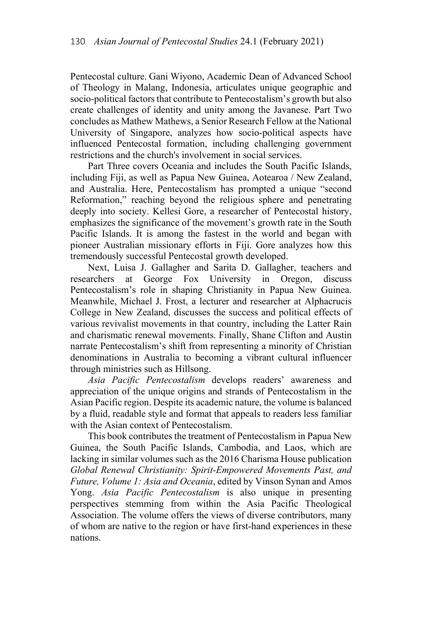Pentecostal culture. Gani Wiyono, Academic Dean of Advanced School of Theology in Malang, Indonesia, articulates unique geographic and socio-political factors that contribute to Pentecostalism's growth but also create challenges of identity and unity among the Javanese. Part Two concludes as Mathew Mathews, a Senior Research Fellow at the National University of Singapore, analyzes how socio-political aspects have influenced Pentecostal formation, including challenging government restrictions and the church's involvement in social services.

Part Three covers Oceania and includes the South Pacific Islands, including Fiji, as well as Papua New Guinea, Aotearoa / New Zealand, and Australia. Here, Pentecostalism has prompted a unique "second Reformation," reaching beyond the religious sphere and penetrating deeply into society. Kellesi Gore, a researcher of Pentecostal history, emphasizes the significance of the movement's growth rate in the South Pacific Islands. It is among the fastest in the world and began with pioneer Australian missionary efforts in Fiji. Gore analyzes how this tremendously successful Pentecostal growth developed.

Next, Luisa J. Gallagher and Sarita D. Gallagher, teachers and researchers at George Fox University in Oregon, discuss Pentecostalism's role in shaping Christianity in Papua New Guinea. Meanwhile, Michael J. Frost, a lecturer and researcher at Alphacrucis College in New Zealand, discusses the success and political effects of various revivalist movements in that country, including the Latter Rain and charismatic renewal movements. Finally, Shane Clifton and Austin narrate Pentecostalism's shift from representing a minority of Christian denominations in Australia to becoming a vibrant cultural influencer through ministries such as Hillsong.

*Asia Pacific Pentecostalism* develops readers' awareness and appreciation of the unique origins and strands of Pentecostalism in the Asian Pacific region. Despite its academic nature, the volume is balanced by a fluid, readable style and format that appeals to readers less familiar with the Asian context of Pentecostalism.

This book contributes the treatment of Pentecostalism in Papua New Guinea, the South Pacific Islands, Cambodia, and Laos, which are lacking in similar volumes such as the 2016 Charisma House publication *Global Renewal Christianity: Spirit-Empowered Movements Past, and Future, Volume 1: Asia and Oceania*, edited by Vinson Synan and Amos Yong. *Asia Pacific Pentecostalism* is also unique in presenting perspectives stemming from within the Asia Pacific Theological Association. The volume offers the views of diverse contributors, many of whom are native to the region or have first-hand experiences in these nations.